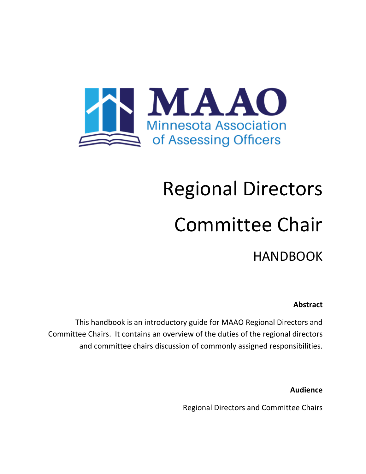

# Regional Directors Committee Chair HANDBOOK

#### **Abstract**

This handbook is an introductory guide for MAAO Regional Directors and Committee Chairs. It contains an overview of the duties of the regional directors and committee chairs discussion of commonly assigned responsibilities.

**Audience**

Regional Directors and Committee Chairs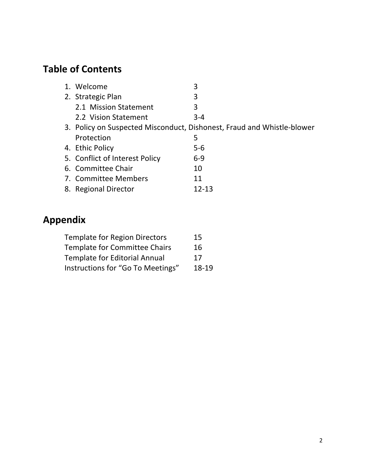### **Table of Contents**

| 1. Welcome                     | 3                                                                      |
|--------------------------------|------------------------------------------------------------------------|
| 2. Strategic Plan              | 3                                                                      |
| 2.1 Mission Statement          | 3                                                                      |
| 2.2 Vision Statement           | $3 - 4$                                                                |
|                                | 3. Policy on Suspected Misconduct, Dishonest, Fraud and Whistle-blower |
| Protection                     | 5                                                                      |
| 4. Ethic Policy                | $5-6$                                                                  |
| 5. Conflict of Interest Policy | $6 - 9$                                                                |
| 6. Committee Chair             | 10                                                                     |
| 7. Committee Members           | 11                                                                     |
| 8. Regional Director           | 12-13                                                                  |

### **Appendix**

| <b>Template for Region Directors</b> | 15    |
|--------------------------------------|-------|
| <b>Template for Committee Chairs</b> | 16    |
| <b>Template for Editorial Annual</b> | 17    |
| Instructions for "Go To Meetings"    | 18-19 |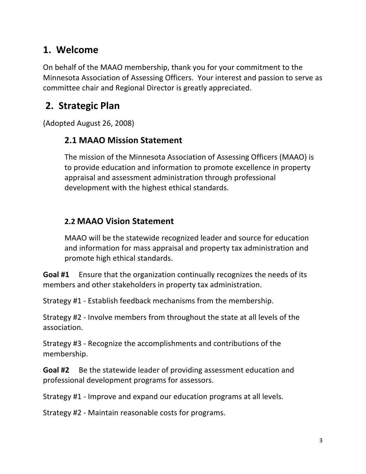### **1. Welcome**

On behalf of the MAAO membership, thank you for your commitment to the Minnesota Association of Assessing Officers. Your interest and passion to serve as committee chair and Regional Director is greatly appreciated.

### **2. Strategic Plan**

(Adopted August 26, 2008)

### **2.1 MAAO Mission Statement**

The mission of the Minnesota Association of Assessing Officers (MAAO) is to provide education and information to promote excellence in property appraisal and assessment administration through professional development with the highest ethical standards.

### **2.2 MAAO Vision Statement**

MAAO will be the statewide recognized leader and source for education and information for mass appraisal and property tax administration and promote high ethical standards.

**Goal #1** Ensure that the organization continually recognizes the needs of its members and other stakeholders in property tax administration.

Strategy #1 - Establish feedback mechanisms from the membership.

Strategy #2 - Involve members from throughout the state at all levels of the association.

Strategy #3 - Recognize the accomplishments and contributions of the membership.

**Goal #2** Be the statewide leader of providing assessment education and professional development programs for assessors.

Strategy #1 - Improve and expand our education programs at all levels.

Strategy #2 - Maintain reasonable costs for programs.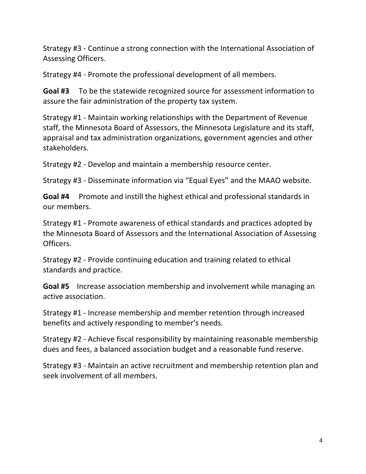Strategy #3 - Continue a strong connection with the International Association of Assessing Officers.

Strategy #4 - Promote the professional development of all members.

**Goal #3** To be the statewide recognized source for assessment information to assure the fair administration of the property tax system.

Strategy #1 - Maintain working relationships with the Department of Revenue staff, the Minnesota Board of Assessors, the Minnesota Legislature and its staff, appraisal and tax administration organizations, government agencies and other stakeholders.

Strategy #2 - Develop and maintain a membership resource center.

Strategy #3 - Disseminate information via "Equal Eyes" and the MAAO website.

**Goal #4** Promote and instill the highest ethical and professional standards in our members.

Strategy #1 - Promote awareness of ethical standards and practices adopted by the Minnesota Board of Assessors and the International Association of Assessing Officers.

Strategy #2 - Provide continuing education and training related to ethical standards and practice.

**Goal #5** Increase association membership and involvement while managing an active association.

Strategy #1 - Increase membership and member retention through increased benefits and actively responding to member's needs.

Strategy #2 - Achieve fiscal responsibility by maintaining reasonable membership dues and fees, a balanced association budget and a reasonable fund reserve.

Strategy #3 - Maintain an active recruitment and membership retention plan and seek involvement of all members.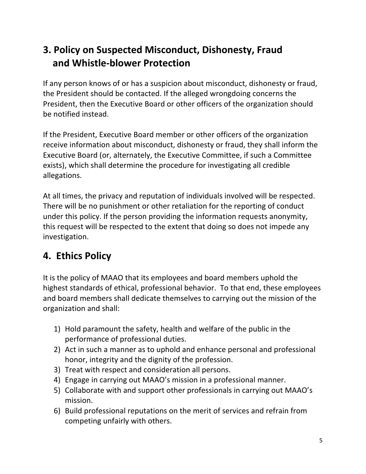### **3. Policy on Suspected Misconduct, Dishonesty, Fraud and Whistle-blower Protection**

If any person knows of or has a suspicion about misconduct, dishonesty or fraud, the President should be contacted. If the alleged wrongdoing concerns the President, then the Executive Board or other officers of the organization should be notified instead.

If the President, Executive Board member or other officers of the organization receive information about misconduct, dishonesty or fraud, they shall inform the Executive Board (or, alternately, the Executive Committee, if such a Committee exists), which shall determine the procedure for investigating all credible allegations. 

At all times, the privacy and reputation of individuals involved will be respected. There will be no punishment or other retaliation for the reporting of conduct under this policy. If the person providing the information requests anonymity, this request will be respected to the extent that doing so does not impede any investigation.

### **4. Ethics Policy**

It is the policy of MAAO that its employees and board members uphold the highest standards of ethical, professional behavior. To that end, these employees and board members shall dedicate themselves to carrying out the mission of the organization and shall:

- 1) Hold paramount the safety, health and welfare of the public in the performance of professional duties.
- 2) Act in such a manner as to uphold and enhance personal and professional honor, integrity and the dignity of the profession.
- 3) Treat with respect and consideration all persons.
- 4) Engage in carrying out MAAO's mission in a professional manner.
- 5) Collaborate with and support other professionals in carrying out MAAO's mission.
- 6) Build professional reputations on the merit of services and refrain from competing unfairly with others.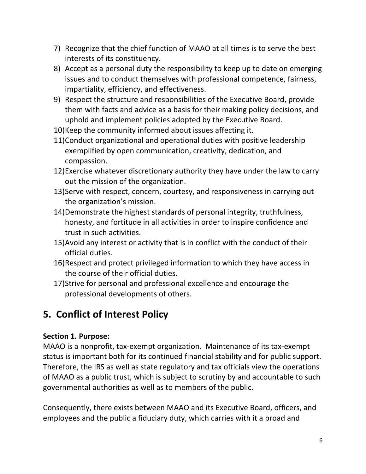- 7) Recognize that the chief function of MAAO at all times is to serve the best interests of its constituency.
- 8) Accept as a personal duty the responsibility to keep up to date on emerging issues and to conduct themselves with professional competence, fairness, impartiality, efficiency, and effectiveness.
- 9) Respect the structure and responsibilities of the Executive Board, provide them with facts and advice as a basis for their making policy decisions, and uphold and implement policies adopted by the Executive Board.
- 10) Keep the community informed about issues affecting it.
- 11) Conduct organizational and operational duties with positive leadership exemplified by open communication, creativity, dedication, and compassion.
- 12) Exercise whatever discretionary authority they have under the law to carry out the mission of the organization.
- 13) Serve with respect, concern, courtesy, and responsiveness in carrying out the organization's mission.
- 14)Demonstrate the highest standards of personal integrity, truthfulness, honesty, and fortitude in all activities in order to inspire confidence and trust in such activities.
- 15) Avoid any interest or activity that is in conflict with the conduct of their official duties.
- 16)Respect and protect privileged information to which they have access in the course of their official duties.
- 17) Strive for personal and professional excellence and encourage the professional developments of others.

### **5. Conflict of Interest Policy**

### Section 1. Purpose:

MAAO is a nonprofit, tax-exempt organization. Maintenance of its tax-exempt status is important both for its continued financial stability and for public support. Therefore, the IRS as well as state regulatory and tax officials view the operations of MAAO as a public trust, which is subject to scrutiny by and accountable to such governmental authorities as well as to members of the public.

Consequently, there exists between MAAO and its Executive Board, officers, and employees and the public a fiduciary duty, which carries with it a broad and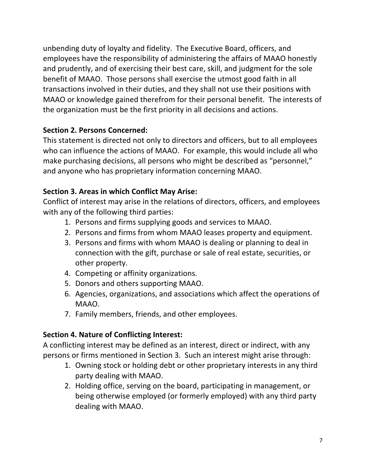unbending duty of loyalty and fidelity. The Executive Board, officers, and employees have the responsibility of administering the affairs of MAAO honestly and prudently, and of exercising their best care, skill, and judgment for the sole benefit of MAAO. Those persons shall exercise the utmost good faith in all transactions involved in their duties, and they shall not use their positions with MAAO or knowledge gained therefrom for their personal benefit. The interests of the organization must be the first priority in all decisions and actions.

### **Section 2. Persons Concerned:**

This statement is directed not only to directors and officers, but to all employees who can influence the actions of MAAO. For example, this would include all who make purchasing decisions, all persons who might be described as "personnel," and anyone who has proprietary information concerning MAAO.

### **Section 3. Areas in which Conflict May Arise:**

Conflict of interest may arise in the relations of directors, officers, and employees with any of the following third parties:

- 1. Persons and firms supplying goods and services to MAAO.
- 2. Persons and firms from whom MAAO leases property and equipment.
- 3. Persons and firms with whom MAAO is dealing or planning to deal in connection with the gift, purchase or sale of real estate, securities, or other property.
- 4. Competing or affinity organizations.
- 5. Donors and others supporting MAAO.
- 6. Agencies, organizations, and associations which affect the operations of MAAO.
- 7. Family members, friends, and other employees.

### **Section 4. Nature of Conflicting Interest:**

A conflicting interest may be defined as an interest, direct or indirect, with any persons or firms mentioned in Section 3. Such an interest might arise through:

- 1. Owning stock or holding debt or other proprietary interests in any third party dealing with MAAO.
- 2. Holding office, serving on the board, participating in management, or being otherwise employed (or formerly employed) with any third party dealing with MAAO.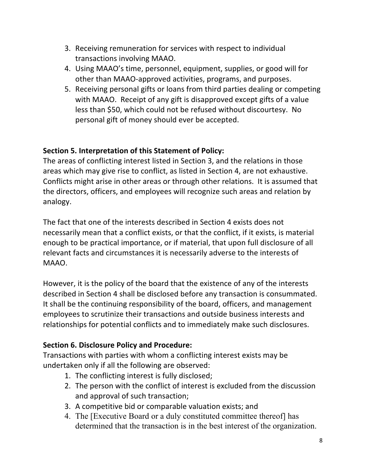- 3. Receiving remuneration for services with respect to individual transactions involving MAAO.
- 4. Using MAAO's time, personnel, equipment, supplies, or good will for other than MAAO-approved activities, programs, and purposes.
- 5. Receiving personal gifts or loans from third parties dealing or competing with MAAO. Receipt of any gift is disapproved except gifts of a value less than \$50, which could not be refused without discourtesy. No personal gift of money should ever be accepted.

### **Section 5. Interpretation of this Statement of Policy:**

The areas of conflicting interest listed in Section 3, and the relations in those areas which may give rise to conflict, as listed in Section 4, are not exhaustive. Conflicts might arise in other areas or through other relations. It is assumed that the directors, officers, and employees will recognize such areas and relation by analogy.

The fact that one of the interests described in Section 4 exists does not necessarily mean that a conflict exists, or that the conflict, if it exists, is material enough to be practical importance, or if material, that upon full disclosure of all relevant facts and circumstances it is necessarily adverse to the interests of MAAO.

However, it is the policy of the board that the existence of any of the interests described in Section 4 shall be disclosed before any transaction is consummated. It shall be the continuing responsibility of the board, officers, and management employees to scrutinize their transactions and outside business interests and relationships for potential conflicts and to immediately make such disclosures.

### **Section 6. Disclosure Policy and Procedure:**

Transactions with parties with whom a conflicting interest exists may be undertaken only if all the following are observed:

- 1. The conflicting interest is fully disclosed;
- 2. The person with the conflict of interest is excluded from the discussion and approval of such transaction;
- 3. A competitive bid or comparable valuation exists; and
- 4. The [Executive Board or a duly constituted committee thereof] has determined that the transaction is in the best interest of the organization.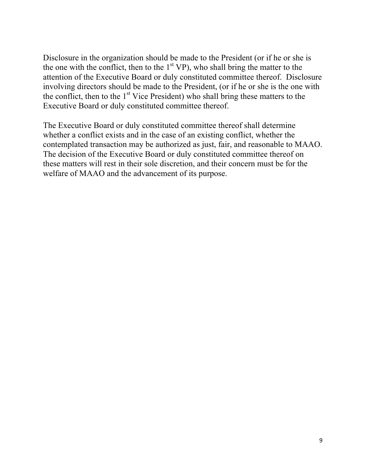Disclosure in the organization should be made to the President (or if he or she is the one with the conflict, then to the  $1<sup>st</sup> VP$ ), who shall bring the matter to the attention of the Executive Board or duly constituted committee thereof. Disclosure involving directors should be made to the President, (or if he or she is the one with the conflict, then to the  $1<sup>st</sup>$  Vice President) who shall bring these matters to the Executive Board or duly constituted committee thereof.

The Executive Board or duly constituted committee thereof shall determine whether a conflict exists and in the case of an existing conflict, whether the contemplated transaction may be authorized as just, fair, and reasonable to MAAO. The decision of the Executive Board or duly constituted committee thereof on these matters will rest in their sole discretion, and their concern must be for the welfare of MAAO and the advancement of its purpose.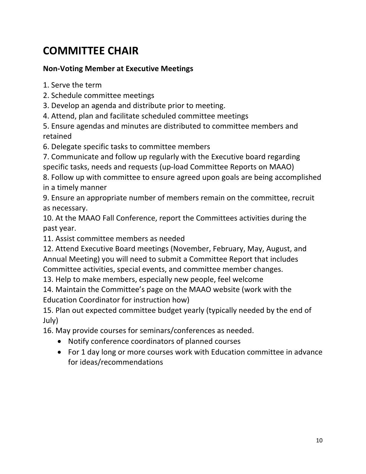### **COMMITTEE CHAIR**

### **Non-Voting Member at Executive Meetings**

1. Serve the term

- 2. Schedule committee meetings
- 3. Develop an agenda and distribute prior to meeting.
- 4. Attend, plan and facilitate scheduled committee meetings

5. Ensure agendas and minutes are distributed to committee members and retained

6. Delegate specific tasks to committee members

7. Communicate and follow up regularly with the Executive board regarding specific tasks, needs and requests (up-load Committee Reports on MAAO)

8. Follow up with committee to ensure agreed upon goals are being accomplished in a timely manner

9. Ensure an appropriate number of members remain on the committee, recruit as necessary.

10. At the MAAO Fall Conference, report the Committees activities during the past year.

11. Assist committee members as needed

12. Attend Executive Board meetings (November, February, May, August, and Annual Meeting) you will need to submit a Committee Report that includes Committee activities, special events, and committee member changes.

13. Help to make members, especially new people, feel welcome

14. Maintain the Committee's page on the MAAO website (work with the Education Coordinator for instruction how)

15. Plan out expected committee budget yearly (typically needed by the end of July)

16. May provide courses for seminars/conferences as needed.

- Notify conference coordinators of planned courses
- For 1 day long or more courses work with Education committee in advance for ideas/recommendations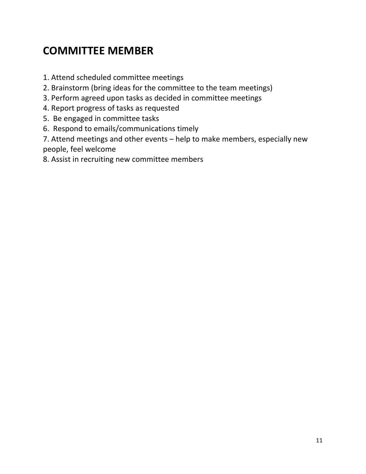### **COMMITTEE MEMBER**

- 1. Attend scheduled committee meetings
- 2. Brainstorm (bring ideas for the committee to the team meetings)
- 3. Perform agreed upon tasks as decided in committee meetings
- 4. Report progress of tasks as requested
- 5. Be engaged in committee tasks
- 6. Respond to emails/communications timely

7. Attend meetings and other events - help to make members, especially new people, feel welcome

8. Assist in recruiting new committee members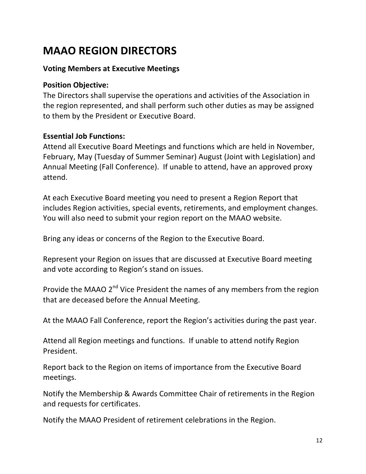### **MAAO REGION DIRECTORS**

### **Voting Members at Executive Meetings**

#### **Position Objective:**

The Directors shall supervise the operations and activities of the Association in the region represented, and shall perform such other duties as may be assigned to them by the President or Executive Board.

#### **Essential Job Functions:**

Attend all Executive Board Meetings and functions which are held in November, February, May (Tuesday of Summer Seminar) August (Joint with Legislation) and Annual Meeting (Fall Conference). If unable to attend, have an approved proxy attend. 

At each Executive Board meeting you need to present a Region Report that includes Region activities, special events, retirements, and employment changes. You will also need to submit your region report on the MAAO website.

Bring any ideas or concerns of the Region to the Executive Board.

Represent your Region on issues that are discussed at Executive Board meeting and vote according to Region's stand on issues.

Provide the MAAO  $2^{nd}$  Vice President the names of any members from the region that are deceased before the Annual Meeting.

At the MAAO Fall Conference, report the Region's activities during the past year.

Attend all Region meetings and functions. If unable to attend notify Region President.

Report back to the Region on items of importance from the Executive Board meetings.

Notify the Membership & Awards Committee Chair of retirements in the Region and requests for certificates.

Notify the MAAO President of retirement celebrations in the Region.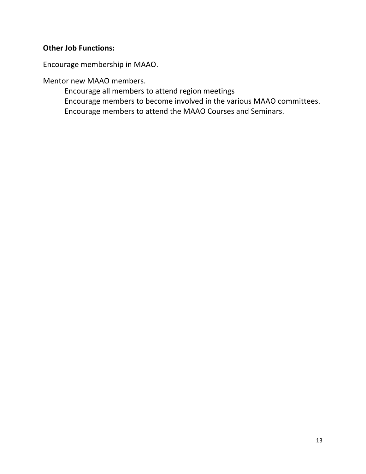### **Other Job Functions:**

Encourage membership in MAAO.

Mentor new MAAO members.

Encourage all members to attend region meetings Encourage members to become involved in the various MAAO committees. Encourage members to attend the MAAO Courses and Seminars.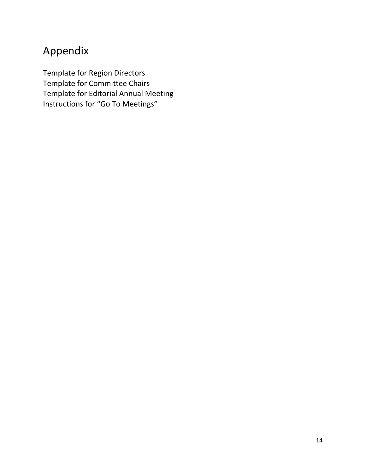### Appendix

Template for Region Directors Template for Committee Chairs Template for Editorial Annual Meeting Instructions for "Go To Meetings"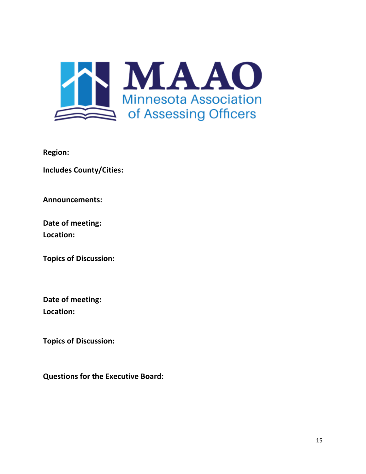

**Region:**

**Includes County/Cities:** 

**Announcements:**

**Date of meeting: Location:**

**Topics of Discussion:**

**Date of meeting: Location:**

**Topics of Discussion:**

**Questions for the Executive Board:**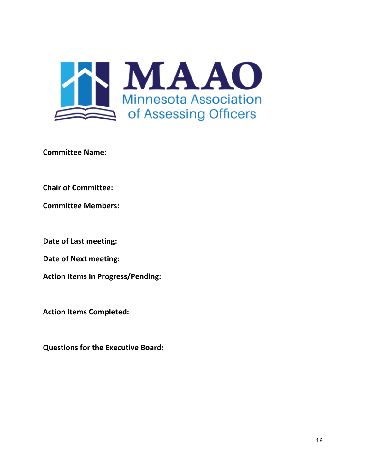

**Committee Name:** 

**Chair of Committee:** 

**Committee Members:**

**Date of Last meeting:** 

**Date of Next meeting:** 

**Action Items In Progress/Pending:** 

**Action Items Completed:** 

**Questions for the Executive Board:**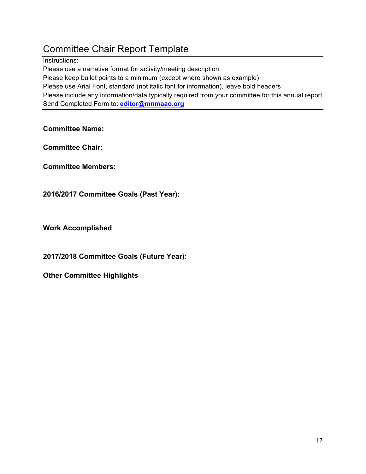### Committee Chair Report Template

Instructions:

Please use a narrative format for activity/meeting description Please keep bullet points to a minimum (except where shown as example) Please use Arial Font, standard (not italic font for information), leave bold headers Please include any information/data typically required from your committee for this annual report Send Completed Form to: **editor@mnmaao.org**

**Committee Name:**

**Committee Chair:** 

**Committee Members:**

**2016/2017 Committee Goals (Past Year):**

**Work Accomplished**

**2017/2018 Committee Goals (Future Year):**

**Other Committee Highlights**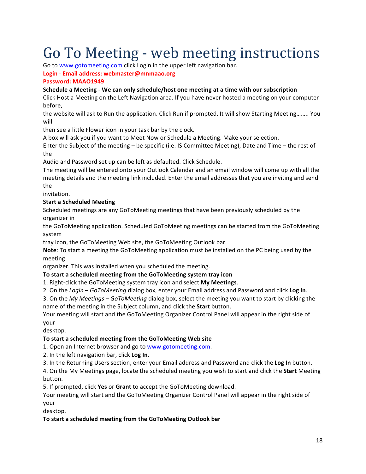## Go To Meeting - web meeting instructions

Go to www.gotomeeting.com click Login in the upper left navigation bar.

**Login - Email address: webmaster@mnmaao.org**

#### **Password: MAAO1949**

#### **Schedule a Meeting - We can only schedule/host one meeting at a time with our subscription**

Click Host a Meeting on the Left Navigation area. If you have never hosted a meeting on your computer before,

the website will ask to Run the application. Click Run if prompted. It will show Starting Meeting…….. You will

then see a little Flower icon in your task bar by the clock.

A box will ask you if you want to Meet Now or Schedule a Meeting. Make your selection.

Enter the Subject of the meeting - be specific (i.e. IS Committee Meeting), Date and Time - the rest of the

Audio and Password set up can be left as defaulted. Click Schedule.

The meeting will be entered onto your Outlook Calendar and an email window will come up with all the meeting details and the meeting link included. Enter the email addresses that you are inviting and send the

invitation.

#### **Start a Scheduled Meeting**

Scheduled meetings are any GoToMeeting meetings that have been previously scheduled by the organizer in

the GoToMeeting application. Scheduled GoToMeeting meetings can be started from the GoToMeeting system

tray icon, the GoToMeeting Web site, the GoToMeeting Outlook bar.

**Note:** To start a meeting the GoToMeeting application must be installed on the PC being used by the meeting

organizer. This was installed when you scheduled the meeting.

#### To start a scheduled meeting from the GoToMeeting system tray icon

1. Right-click the GoToMeeting system tray icon and select My Meetings.

2. On the *Login* – *GoToMeeting* dialog box, enter your Email address and Password and click **Log In**.

3. On the *My Meetings* – *GoToMeeting* dialog box, select the meeting you want to start by clicking the name of the meeting in the Subject column, and click the **Start** button.

Your meeting will start and the GoToMeeting Organizer Control Panel will appear in the right side of your

desktop.

#### To start a scheduled meeting from the GoToMeeting Web site

1. Open an Internet browser and go to www.gotomeeting.com.

2. In the left navigation bar, click Log In.

3. In the Returning Users section, enter your Email address and Password and click the **Log In** button.

4. On the My Meetings page, locate the scheduled meeting you wish to start and click the **Start** Meeting button.

5. If prompted, click **Yes** or **Grant** to accept the GoToMeeting download.

Your meeting will start and the GoToMeeting Organizer Control Panel will appear in the right side of your

desktop.

#### To start a scheduled meeting from the GoToMeeting Outlook bar